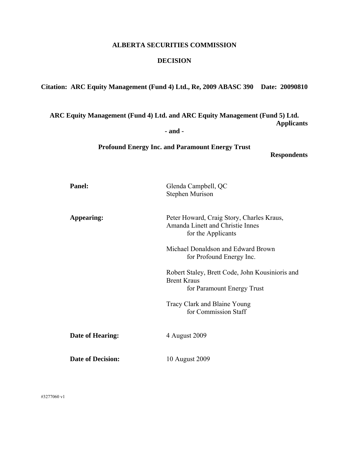### **ALBERTA SECURITIES COMMISSION**

#### **DECISION**

**Citation: ARC Equity Management (Fund 4) Ltd., Re, 2009 ABASC 390 Date: 20090810**

**ARC Equity Management (Fund 4) Ltd. and ARC Equity Management (Fund 5) Ltd. Applicants** 

**- and -** 

**Profound Energy Inc. and Paramount Energy Trust** 

**Respondents** 

| <b>Panel:</b>            | Glenda Campbell, QC<br><b>Stephen Murison</b>                                                       |
|--------------------------|-----------------------------------------------------------------------------------------------------|
| Appearing:               | Peter Howard, Craig Story, Charles Kraus,<br>Amanda Linett and Christie Innes<br>for the Applicants |
|                          | Michael Donaldson and Edward Brown<br>for Profound Energy Inc.                                      |
|                          | Robert Staley, Brett Code, John Kousinioris and<br><b>Brent Kraus</b><br>for Paramount Energy Trust |
|                          | Tracy Clark and Blaine Young<br>for Commission Staff                                                |
| Date of Hearing:         | 4 August 2009                                                                                       |
| <b>Date of Decision:</b> | 10 August 2009                                                                                      |

#3277060 v1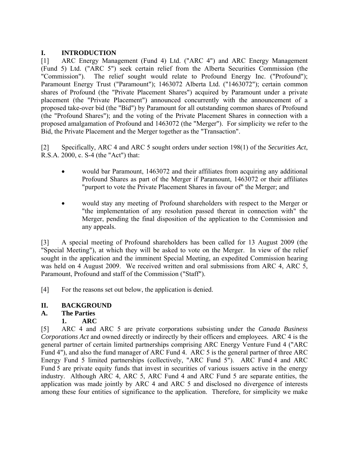## **I. INTRODUCTION**

[1] ARC Energy Management (Fund 4) Ltd. ("ARC 4") and ARC Energy Management (Fund 5) Ltd. ("ARC 5") seek certain relief from the Alberta Securities Commission (the "Commission"). The relief sought would relate to Profound Energy Inc. ("Profound"); Paramount Energy Trust ("Paramount"); 1463072 Alberta Ltd. ("1463072"); certain common shares of Profound (the "Private Placement Shares") acquired by Paramount under a private placement (the "Private Placement") announced concurrently with the announcement of a proposed take-over bid (the "Bid") by Paramount for all outstanding common shares of Profound (the "Profound Shares"); and the voting of the Private Placement Shares in connection with a proposed amalgamation of Profound and 1463072 (the "Merger"). For simplicity we refer to the Bid, the Private Placement and the Merger together as the "Transaction".

[2] Specifically, ARC 4 and ARC 5 sought orders under section 198(1) of the *Securities Act*, R.S.A. 2000, c. S-4 (the "Act") that:

- would bar Paramount, 1463072 and their affiliates from acquiring any additional Profound Shares as part of the Merger if Paramount, 1463072 or their affiliates "purport to vote the Private Placement Shares in favour of" the Merger; and
- would stay any meeting of Profound shareholders with respect to the Merger or "the implementation of any resolution passed thereat in connection with" the Merger, pending the final disposition of the application to the Commission and any appeals.

[3] A special meeting of Profound shareholders has been called for 13 August 2009 (the "Special Meeting"), at which they will be asked to vote on the Merger. In view of the relief sought in the application and the imminent Special Meeting, an expedited Commission hearing was held on 4 August 2009. We received written and oral submissions from ARC 4, ARC 5, Paramount, Profound and staff of the Commission ("Staff").

[4] For the reasons set out below, the application is denied.

#### **II. BACKGROUND**

# **A. The Parties**

# **1. ARC**

[5] ARC 4 and ARC 5 are private corporations subsisting under the *Canada Business Corporations Act* and owned directly or indirectly by their officers and employees. ARC 4 is the general partner of certain limited partnerships comprising ARC Energy Venture Fund 4 ("ARC Fund 4"), and also the fund manager of ARC Fund 4. ARC 5 is the general partner of three ARC Energy Fund 5 limited partnerships (collectively, "ARC Fund 5"). ARC Fund 4 and ARC Fund 5 are private equity funds that invest in securities of various issuers active in the energy industry. Although ARC 4, ARC 5, ARC Fund 4 and ARC Fund 5 are separate entities, the application was made jointly by ARC 4 and ARC 5 and disclosed no divergence of interests among these four entities of significance to the application. Therefore, for simplicity we make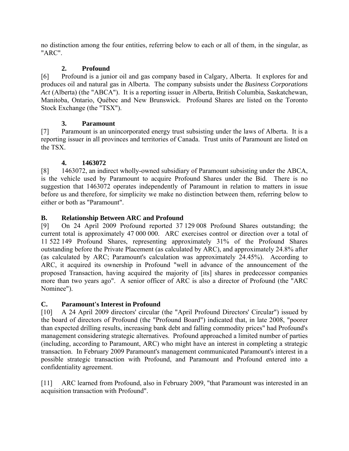no distinction among the four entities, referring below to each or all of them, in the singular, as "ARC".

# **2. Profound**

[6] Profound is a junior oil and gas company based in Calgary, Alberta. It explores for and produces oil and natural gas in Alberta. The company subsists under the *Business Corporations Act* (Alberta) (the "ABCA"). It is a reporting issuer in Alberta, British Columbia, Saskatchewan, Manitoba, Ontario, Québec and New Brunswick. Profound Shares are listed on the Toronto Stock Exchange (the "TSX").

# **3. Paramount**

[7] Paramount is an unincorporated energy trust subsisting under the laws of Alberta. It is a reporting issuer in all provinces and territories of Canada. Trust units of Paramount are listed on the TSX.

# **4. 1463072**

[8] 1463072, an indirect wholly-owned subsidiary of Paramount subsisting under the ABCA, is the vehicle used by Paramount to acquire Profound Shares under the Bid. There is no suggestion that 1463072 operates independently of Paramount in relation to matters in issue before us and therefore, for simplicity we make no distinction between them, referring below to either or both as "Paramount".

# **B. Relationship Between ARC and Profound**

[9] On 24 April 2009 Profound reported 37 129 008 Profound Shares outstanding; the current total is approximately 47 000 000. ARC exercises control or direction over a total of 11 522 149 Profound Shares, representing approximately 31% of the Profound Shares outstanding before the Private Placement (as calculated by ARC), and approximately 24.8% after (as calculated by ARC; Paramount's calculation was approximately 24.45%). According to ARC, it acquired its ownership in Profound "well in advance of the announcement of the proposed Transaction, having acquired the majority of [its] shares in predecessor companies more than two years ago". A senior officer of ARC is also a director of Profound (the "ARC Nominee").

# **C. Paramount's Interest in Profound**

[10] A 24 April 2009 directors' circular (the "April Profound Directors' Circular") issued by the board of directors of Profound (the "Profound Board") indicated that, in late 2008, "poorer than expected drilling results, increasing bank debt and falling commodity prices" had Profound's management considering strategic alternatives. Profound approached a limited number of parties (including, according to Paramount, ARC) who might have an interest in completing a strategic transaction. In February 2009 Paramount's management communicated Paramount's interest in a possible strategic transaction with Profound, and Paramount and Profound entered into a confidentiality agreement.

[11] ARC learned from Profound, also in February 2009, "that Paramount was interested in an acquisition transaction with Profound".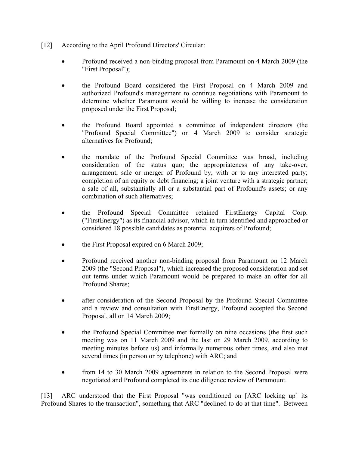- [12] According to the April Profound Directors' Circular:
	- Profound received a non-binding proposal from Paramount on 4 March 2009 (the "First Proposal");
	- the Profound Board considered the First Proposal on 4 March 2009 and authorized Profound's management to continue negotiations with Paramount to determine whether Paramount would be willing to increase the consideration proposed under the First Proposal;
	- the Profound Board appointed a committee of independent directors (the "Profound Special Committee") on 4 March 2009 to consider strategic alternatives for Profound;
	- the mandate of the Profound Special Committee was broad, including consideration of the status quo; the appropriateness of any take-over, arrangement, sale or merger of Profound by, with or to any interested party; completion of an equity or debt financing; a joint venture with a strategic partner; a sale of all, substantially all or a substantial part of Profound's assets; or any combination of such alternatives;
	- the Profound Special Committee retained FirstEnergy Capital Corp. ("FirstEnergy") as its financial advisor, which in turn identified and approached or considered 18 possible candidates as potential acquirers of Profound;
	- the First Proposal expired on 6 March 2009;
	- Profound received another non-binding proposal from Paramount on 12 March 2009 (the "Second Proposal"), which increased the proposed consideration and set out terms under which Paramount would be prepared to make an offer for all Profound Shares;
	- after consideration of the Second Proposal by the Profound Special Committee and a review and consultation with FirstEnergy, Profound accepted the Second Proposal, all on 14 March 2009;
	- the Profound Special Committee met formally on nine occasions (the first such meeting was on 11 March 2009 and the last on 29 March 2009, according to meeting minutes before us) and informally numerous other times, and also met several times (in person or by telephone) with ARC; and
	- from 14 to 30 March 2009 agreements in relation to the Second Proposal were negotiated and Profound completed its due diligence review of Paramount.

[13] ARC understood that the First Proposal "was conditioned on [ARC locking up] its Profound Shares to the transaction", something that ARC "declined to do at that time". Between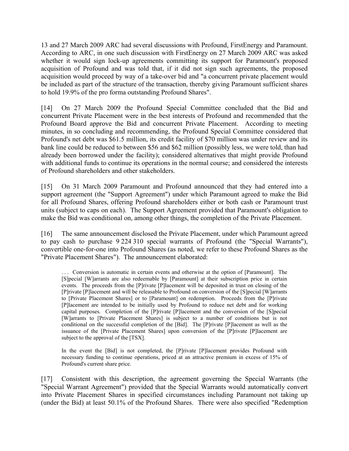13 and 27 March 2009 ARC had several discussions with Profound, FirstEnergy and Paramount. According to ARC, in one such discussion with FirstEnergy on 27 March 2009 ARC was asked whether it would sign lock-up agreements committing its support for Paramount's proposed acquisition of Profound and was told that, if it did not sign such agreements, the proposed acquisition would proceed by way of a take-over bid and "a concurrent private placement would be included as part of the structure of the transaction, thereby giving Paramount sufficient shares to hold 19.9% of the pro forma outstanding Profound Shares".

[14] On 27 March 2009 the Profound Special Committee concluded that the Bid and concurrent Private Placement were in the best interests of Profound and recommended that the Profound Board approve the Bid and concurrent Private Placement. According to meeting minutes, in so concluding and recommending, the Profound Special Committee considered that Profound's net debt was \$61.5 million, its credit facility of \$70 million was under review and its bank line could be reduced to between \$56 and \$62 million (possibly less, we were told, than had already been borrowed under the facility); considered alternatives that might provide Profound with additional funds to continue its operations in the normal course; and considered the interests of Profound shareholders and other stakeholders.

[15] On 31 March 2009 Paramount and Profound announced that they had entered into a support agreement (the "Support Agreement") under which Paramount agreed to make the Bid for all Profound Shares, offering Profound shareholders either or both cash or Paramount trust units (subject to caps on each). The Support Agreement provided that Paramount's obligation to make the Bid was conditional on, among other things, the completion of the Private Placement.

[16] The same announcement disclosed the Private Placement, under which Paramount agreed to pay cash to purchase 9 224 310 special warrants of Profound (the "Special Warrants"), convertible one-for-one into Profound Shares (as noted, we refer to these Profound Shares as the "Private Placement Shares"). The announcement elaborated:

. . . Conversion is automatic in certain events and otherwise at the option of [Paramount]. The [S]pecial [W]arrants are also redeemable by [Paramount] at their subscription price in certain events. The proceeds from the [P]rivate [P]lacement will be deposited in trust on closing of the [P]rivate [P]lacement and will be releasable to Profound on conversion of the [S]pecial [W]arrants to [Private Placement Shares] or to [Paramount] on redemption. Proceeds from the [P]rivate [P]lacement are intended to be initially used by Profound to reduce net debt and for working capital purposes. Completion of the [P]rivate [P]lacement and the conversion of the [S]pecial [W]arrants to [Private Placement Shares] is subject to a number of conditions but is not conditional on the successful completion of the [Bid]. The [P]rivate [P]lacement as well as the issuance of the [Private Placement Shares] upon conversion of the [P]rivate [P]lacement are subject to the approval of the [TSX].

In the event the [Bid] is not completed, the [P]rivate [P]lacement provides Profound with necessary funding to continue operations, priced at an attractive premium in excess of 15% of Profound's current share price.

[17] Consistent with this description, the agreement governing the Special Warrants (the "Special Warrant Agreement") provided that the Special Warrants would automatically convert into Private Placement Shares in specified circumstances including Paramount not taking up (under the Bid) at least 50.1% of the Profound Shares. There were also specified "Redemption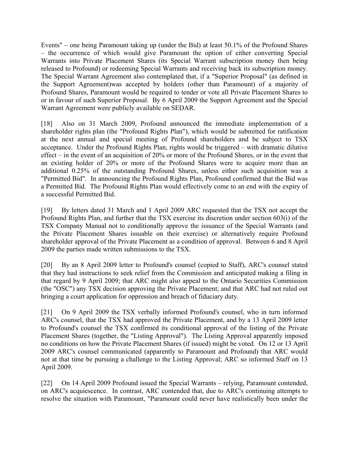Events" – one being Paramount taking up (under the Bid) at least 50.1% of the Profound Shares – the occurrence of which would give Paramount the option of either converting Special Warrants into Private Placement Shares (its Special Warrant subscription money then being released to Profound) or redeeming Special Warrants and receiving back its subscription money. The Special Warrant Agreement also contemplated that, if a "Superior Proposal" (as defined in the Support Agreement)was accepted by holders (other than Paramount) of a majority of Profound Shares, Paramount would be required to tender or vote all Private Placement Shares to or in favour of such Superior Proposal. By 6 April 2009 the Support Agreement and the Special Warrant Agreement were publicly available on SEDAR.

[18] Also on 31 March 2009, Profound announced the immediate implementation of a shareholder rights plan (the "Profound Rights Plan"), which would be submitted for ratification at the next annual and special meeting of Profound shareholders and be subject to TSX acceptance. Under the Profound Rights Plan, rights would be triggered – with dramatic dilutive effect – in the event of an acquisition of 20% or more of the Profound Shares, or in the event that an existing holder of 20% or more of the Profound Shares were to acquire more than an additional 0.25% of the outstanding Profound Shares, unless either such acquisition was a "Permitted Bid". In announcing the Profound Rights Plan, Profound confirmed that the Bid was a Permitted Bid. The Profound Rights Plan would effectively come to an end with the expiry of a successful Permitted Bid.

[19] By letters dated 31 March and 1 April 2009 ARC requested that the TSX not accept the Profound Rights Plan, and further that the TSX exercise its discretion under section 603(i) of the TSX Company Manual not to conditionally approve the issuance of the Special Warrants (and the Private Placement Shares issuable on their exercise) or alternatively require Profound shareholder approval of the Private Placement as a condition of approval. Between 6 and 8 April 2009 the parties made written submissions to the TSX.

[20] By an 8 April 2009 letter to Profound's counsel (copied to Staff), ARC's counsel stated that they had instructions to seek relief from the Commission and anticipated making a filing in that regard by 9 April 2009; that ARC might also appeal to the Ontario Securities Commission (the "OSC") any TSX decision approving the Private Placement; and that ARC had not ruled out bringing a court application for oppression and breach of fiduciary duty.

[21] On 9 April 2009 the TSX verbally informed Profound's counsel, who in turn informed ARC's counsel, that the TSX had approved the Private Placement, and by a 13 April 2009 letter to Profound's counsel the TSX confirmed its conditional approval of the listing of the Private Placement Shares (together, the "Listing Approval"). The Listing Approval apparently imposed no conditions on how the Private Placement Shares (if issued) might be voted. On 12 or 13 April 2009 ARC's counsel communicated (apparently to Paramount and Profound) that ARC would not at that time be pursuing a challenge to the Listing Approval; ARC so informed Staff on 13 April 2009.

[22] On 14 April 2009 Profound issued the Special Warrants – relying, Paramount contended, on ARC's acquiescence. In contrast, ARC contended that, due to ARC's continuing attempts to resolve the situation with Paramount, "Paramount could never have realistically been under the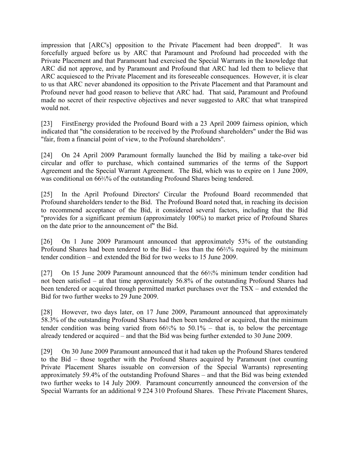impression that [ARC's] opposition to the Private Placement had been dropped". It was forcefully argued before us by ARC that Paramount and Profound had proceeded with the Private Placement and that Paramount had exercised the Special Warrants in the knowledge that ARC did not approve, and by Paramount and Profound that ARC had led them to believe that ARC acquiesced to the Private Placement and its foreseeable consequences. However, it is clear to us that ARC never abandoned its opposition to the Private Placement and that Paramount and Profound never had good reason to believe that ARC had. That said, Paramount and Profound made no secret of their respective objectives and never suggested to ARC that what transpired would not.

[23] FirstEnergy provided the Profound Board with a 23 April 2009 fairness opinion, which indicated that "the consideration to be received by the Profound shareholders" under the Bid was "fair, from a financial point of view, to the Profound shareholders".

[24] On 24 April 2009 Paramount formally launched the Bid by mailing a take-over bid circular and offer to purchase, which contained summaries of the terms of the Support Agreement and the Special Warrant Agreement. The Bid, which was to expire on 1 June 2009, was conditional on 66%% of the outstanding Profound Shares being tendered.

[25] In the April Profound Directors' Circular the Profound Board recommended that Profound shareholders tender to the Bid. The Profound Board noted that, in reaching its decision to recommend acceptance of the Bid, it considered several factors, including that the Bid "provides for a significant premium (approximately 100%) to market price of Profound Shares on the date prior to the announcement of" the Bid.

[26] On 1 June 2009 Paramount announced that approximately 53% of the outstanding Profound Shares had been tendered to the Bid – less than the 66⅔% required by the minimum tender condition – and extended the Bid for two weeks to 15 June 2009.

[27] On 15 June 2009 Paramount announced that the 66‰% minimum tender condition had not been satisfied – at that time approximately 56.8% of the outstanding Profound Shares had been tendered or acquired through permitted market purchases over the TSX – and extended the Bid for two further weeks to 29 June 2009.

[28] However, two days later, on 17 June 2009, Paramount announced that approximately 58.3% of the outstanding Profound Shares had then been tendered or acquired, that the minimum tender condition was being varied from 66⅔% to 50.1% – that is, to below the percentage already tendered or acquired – and that the Bid was being further extended to 30 June 2009.

[29] On 30 June 2009 Paramount announced that it had taken up the Profound Shares tendered to the Bid – those together with the Profound Shares acquired by Paramount (not counting Private Placement Shares issuable on conversion of the Special Warrants) representing approximately 59.4% of the outstanding Profound Shares – and that the Bid was being extended two further weeks to 14 July 2009. Paramount concurrently announced the conversion of the Special Warrants for an additional 9 224 310 Profound Shares. These Private Placement Shares,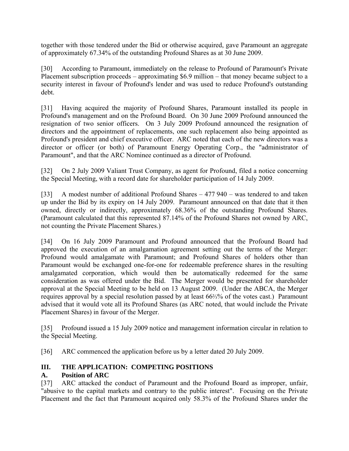together with those tendered under the Bid or otherwise acquired, gave Paramount an aggregate of approximately 67.34% of the outstanding Profound Shares as at 30 June 2009.

[30] According to Paramount, immediately on the release to Profound of Paramount's Private Placement subscription proceeds – approximating \$6.9 million – that money became subject to a security interest in favour of Profound's lender and was used to reduce Profound's outstanding debt.

[31] Having acquired the majority of Profound Shares, Paramount installed its people in Profound's management and on the Profound Board. On 30 June 2009 Profound announced the resignation of two senior officers. On 3 July 2009 Profound announced the resignation of directors and the appointment of replacements, one such replacement also being appointed as Profound's president and chief executive officer. ARC noted that each of the new directors was a director or officer (or both) of Paramount Energy Operating Corp., the "administrator of Paramount", and that the ARC Nominee continued as a director of Profound.

[32] On 2 July 2009 Valiant Trust Company, as agent for Profound, filed a notice concerning the Special Meeting, with a record date for shareholder participation of 14 July 2009.

[33] A modest number of additional Profound Shares – 477 940 – was tendered to and taken up under the Bid by its expiry on 14 July 2009. Paramount announced on that date that it then owned, directly or indirectly, approximately 68.36% of the outstanding Profound Shares. (Paramount calculated that this represented 87.14% of the Profound Shares not owned by ARC, not counting the Private Placement Shares.)

[34] On 16 July 2009 Paramount and Profound announced that the Profound Board had approved the execution of an amalgamation agreement setting out the terms of the Merger: Profound would amalgamate with Paramount; and Profound Shares of holders other than Paramount would be exchanged one-for-one for redeemable preference shares in the resulting amalgamated corporation, which would then be automatically redeemed for the same consideration as was offered under the Bid. The Merger would be presented for shareholder approval at the Special Meeting to be held on 13 August 2009. (Under the ABCA, the Merger requires approval by a special resolution passed by at least 66⅔% of the votes cast.) Paramount advised that it would vote all its Profound Shares (as ARC noted, that would include the Private Placement Shares) in favour of the Merger.

[35] Profound issued a 15 July 2009 notice and management information circular in relation to the Special Meeting.

[36] ARC commenced the application before us by a letter dated 20 July 2009.

# **III. THE APPLICATION: COMPETING POSITIONS**

#### **A. Position of ARC**

[37] ARC attacked the conduct of Paramount and the Profound Board as improper, unfair, "abusive to the capital markets and contrary to the public interest". Focusing on the Private Placement and the fact that Paramount acquired only 58.3% of the Profound Shares under the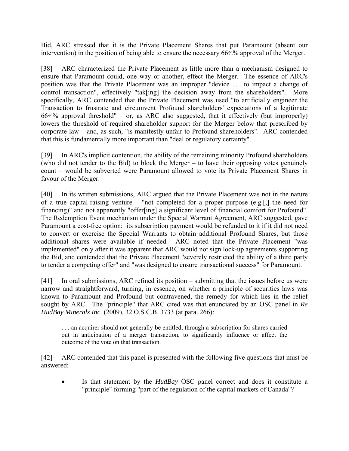Bid, ARC stressed that it is the Private Placement Shares that put Paramount (absent our intervention) in the position of being able to ensure the necessary 66⅔% approval of the Merger.

[38] ARC characterized the Private Placement as little more than a mechanism designed to ensure that Paramount could, one way or another, effect the Merger. The essence of ARC's position was that the Private Placement was an improper "device . . . to impact a change of control transaction", effectively "tak[ing] the decision away from the shareholders". More specifically, ARC contended that the Private Placement was used "to artificially engineer the Transaction to frustrate and circumvent Profound shareholders' expectations of a legitimate 66⅔% approval threshold" – or, as ARC also suggested, that it effectively (but improperly) lowers the threshold of required shareholder support for the Merger below that prescribed by corporate law – and, as such, "is manifestly unfair to Profound shareholders". ARC contended that this is fundamentally more important than "deal or regulatory certainty".

[39] In ARC's implicit contention, the ability of the remaining minority Profound shareholders (who did not tender to the Bid) to block the Merger – to have their opposing votes genuinely count – would be subverted were Paramount allowed to vote its Private Placement Shares in favour of the Merger.

[40] In its written submissions, ARC argued that the Private Placement was not in the nature of a true capital-raising venture – "not completed for a proper purpose  $(e.g., [0])$  the need for financing)" and not apparently "offer[ing] a significant level of financial comfort for Profound". The Redemption Event mechanism under the Special Warrant Agreement, ARC suggested, gave Paramount a cost-free option: its subscription payment would be refunded to it if it did not need to convert or exercise the Special Warrants to obtain additional Profound Shares, but those additional shares were available if needed. ARC noted that the Private Placement "was implemented" only after it was apparent that ARC would not sign lock-up agreements supporting the Bid, and contended that the Private Placement "severely restricted the ability of a third party to tender a competing offer" and "was designed to ensure transactional success" for Paramount.

[41] In oral submissions, ARC refined its position – submitting that the issues before us were narrow and straightforward, turning, in essence, on whether a principle of securities laws was known to Paramount and Profound but contravened, the remedy for which lies in the relief sought by ARC. The "principle" that ARC cited was that enunciated by an OSC panel in *Re HudBay Minerals Inc*. (2009), 32 O.S.C.B. 3733 (at para. 266):

. . . an acquirer should not generally be entitled, through a subscription for shares carried out in anticipation of a merger transaction, to significantly influence or affect the outcome of the vote on that transaction.

[42] ARC contended that this panel is presented with the following five questions that must be answered:

• Is that statement by the *HudBay* OSC panel correct and does it constitute a "principle" forming "part of the regulation of the capital markets of Canada"?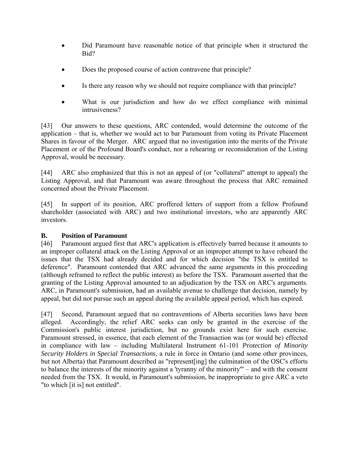- Did Paramount have reasonable notice of that principle when it structured the Bid?
- Does the proposed course of action contravene that principle?
- Is there any reason why we should not require compliance with that principle?
- What is our jurisdiction and how do we effect compliance with minimal intrusiveness?

[43] Our answers to these questions, ARC contended, would determine the outcome of the application – that is, whether we would act to bar Paramount from voting its Private Placement Shares in favour of the Merger. ARC argued that no investigation into the merits of the Private Placement or of the Profound Board's conduct, nor a rehearing or reconsideration of the Listing Approval, would be necessary.

[44] ARC also emphasized that this is not an appeal of (or "collateral" attempt to appeal) the Listing Approval, and that Paramount was aware throughout the process that ARC remained concerned about the Private Placement.

[45] In support of its position, ARC proffered letters of support from a fellow Profound shareholder (associated with ARC) and two institutional investors, who are apparently ARC investors.

#### **B. Position of Paramount**

[46] Paramount argued first that ARC's application is effectively barred because it amounts to an improper collateral attack on the Listing Approval or an improper attempt to have reheard the issues that the TSX had already decided and for which decision "the TSX is entitled to deference". Paramount contended that ARC advanced the same arguments in this proceeding (although reframed to reflect the public interest) as before the TSX. Paramount asserted that the granting of the Listing Approval amounted to an adjudication by the TSX on ARC's arguments. ARC, in Paramount's submission, had an available avenue to challenge that decision, namely by appeal, but did not pursue such an appeal during the available appeal period, which has expired.

[47] Second, Paramount argued that no contraventions of Alberta securities laws have been alleged. Accordingly, the relief ARC seeks can only be granted in the exercise of the Commission's public interest jurisdiction, but no grounds exist here for such exercise. Paramount stressed, in essence, that each element of the Transaction was (or would be) effected in compliance with law – including Multilateral Instrument 61-101 *Protection of Minority Security Holders in Special Transactions*, a rule in force in Ontario (and some other provinces, but not Alberta) that Paramount described as "represent[ing] the culmination of the OSC's efforts to balance the interests of the minority against a 'tyranny of the minority'" – and with the consent needed from the TSX. It would, in Paramount's submission, be inappropriate to give ARC a veto "to which [it is] not entitled".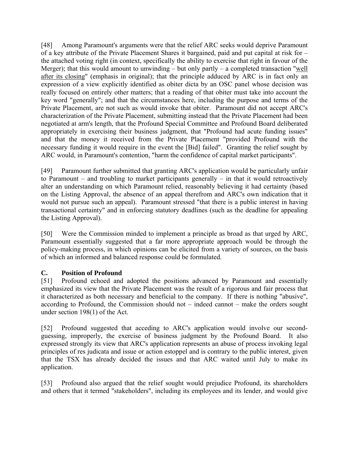[48] Among Paramount's arguments were that the relief ARC seeks would deprive Paramount of a key attribute of the Private Placement Shares it bargained, paid and put capital at risk for – the attached voting right (in context, specifically the ability to exercise that right in favour of the Merger); that this would amount to unwinding – but only partly – a completed transaction "well after its closing" (emphasis in original); that the principle adduced by ARC is in fact only an expression of a view explicitly identified as obiter dicta by an OSC panel whose decision was really focused on entirely other matters; that a reading of that obiter must take into account the key word "generally"; and that the circumstances here, including the purpose and terms of the Private Placement, are not such as would invoke that obiter. Paramount did not accept ARC's characterization of the Private Placement, submitting instead that the Private Placement had been negotiated at arm's length, that the Profound Special Committee and Profound Board deliberated appropriately in exercising their business judgment, that "Profound had acute funding issues" and that the money it received from the Private Placement "provided Profound with the necessary funding it would require in the event the [Bid] failed". Granting the relief sought by ARC would, in Paramount's contention, "harm the confidence of capital market participants".

[49] Paramount further submitted that granting ARC's application would be particularly unfair to Paramount – and troubling to market participants generally – in that it would retroactively alter an understanding on which Paramount relied, reasonably believing it had certainty (based on the Listing Approval, the absence of an appeal therefrom and ARC's own indication that it would not pursue such an appeal). Paramount stressed "that there is a public interest in having transactional certainty" and in enforcing statutory deadlines (such as the deadline for appealing the Listing Approval).

[50] Were the Commission minded to implement a principle as broad as that urged by ARC, Paramount essentially suggested that a far more appropriate approach would be through the policy-making process, in which opinions can be elicited from a variety of sources, on the basis of which an informed and balanced response could be formulated.

#### **C. Position of Profound**

[51] Profound echoed and adopted the positions advanced by Paramount and essentially emphasized its view that the Private Placement was the result of a rigorous and fair process that it characterized as both necessary and beneficial to the company. If there is nothing "abusive", according to Profound, the Commission should not – indeed cannot – make the orders sought under section 198(1) of the Act.

[52] Profound suggested that acceding to ARC's application would involve our secondguessing, improperly, the exercise of business judgment by the Profound Board. It also expressed strongly its view that ARC's application represents an abuse of process invoking legal principles of res judicata and issue or action estoppel and is contrary to the public interest, given that the TSX has already decided the issues and that ARC waited until July to make its application.

[53] Profound also argued that the relief sought would prejudice Profound, its shareholders and others that it termed "stakeholders", including its employees and its lender, and would give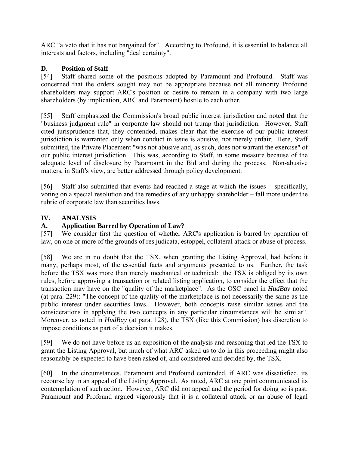ARC "a veto that it has not bargained for". According to Profound, it is essential to balance all interests and factors, including "deal certainty".

## **D. Position of Staff**

[54] Staff shared some of the positions adopted by Paramount and Profound. Staff was concerned that the orders sought may not be appropriate because not all minority Profound shareholders may support ARC's position or desire to remain in a company with two large shareholders (by implication, ARC and Paramount) hostile to each other.

[55] Staff emphasized the Commission's broad public interest jurisdiction and noted that the "business judgment rule" in corporate law should not trump that jurisdiction. However, Staff cited jurisprudence that, they contended, makes clear that the exercise of our public interest jurisdiction is warranted only when conduct in issue is abusive, not merely unfair. Here, Staff submitted, the Private Placement "was not abusive and, as such, does not warrant the exercise" of our public interest jurisdiction. This was, according to Staff, in some measure because of the adequate level of disclosure by Paramount in the Bid and during the process. Non-abusive matters, in Staff's view, are better addressed through policy development.

[56] Staff also submitted that events had reached a stage at which the issues – specifically, voting on a special resolution and the remedies of any unhappy shareholder – fall more under the rubric of corporate law than securities laws.

## **IV. ANALYSIS**

## **A. Application Barred by Operation of Law?**

[57] We consider first the question of whether ARC's application is barred by operation of law, on one or more of the grounds of res judicata, estoppel, collateral attack or abuse of process.

[58] We are in no doubt that the TSX, when granting the Listing Approval, had before it many, perhaps most, of the essential facts and arguments presented to us. Further, the task before the TSX was more than merely mechanical or technical: the TSX is obliged by its own rules, before approving a transaction or related listing application, to consider the effect that the transaction may have on the "quality of the marketplace". As the OSC panel in *HudBay* noted (at para. 229): "The concept of the quality of the marketplace is not necessarily the same as the public interest under securities laws. However, both concepts raise similar issues and the considerations in applying the two concepts in any particular circumstances will be similar". Moreover, as noted in *HudBay* (at para. 128), the TSX (like this Commission) has discretion to impose conditions as part of a decision it makes.

[59] We do not have before us an exposition of the analysis and reasoning that led the TSX to grant the Listing Approval, but much of what ARC asked us to do in this proceeding might also reasonably be expected to have been asked of, and considered and decided by, the TSX.

[60] In the circumstances, Paramount and Profound contended, if ARC was dissatisfied, its recourse lay in an appeal of the Listing Approval. As noted, ARC at one point communicated its contemplation of such action. However, ARC did not appeal and the period for doing so is past. Paramount and Profound argued vigorously that it is a collateral attack or an abuse of legal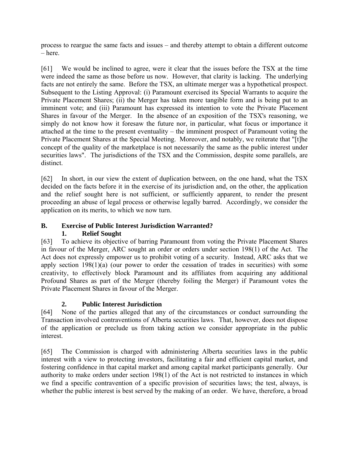process to reargue the same facts and issues – and thereby attempt to obtain a different outcome – here.

[61] We would be inclined to agree, were it clear that the issues before the TSX at the time were indeed the same as those before us now. However, that clarity is lacking. The underlying facts are not entirely the same. Before the TSX, an ultimate merger was a hypothetical prospect. Subsequent to the Listing Approval: (i) Paramount exercised its Special Warrants to acquire the Private Placement Shares; (ii) the Merger has taken more tangible form and is being put to an imminent vote; and (iii) Paramount has expressed its intention to vote the Private Placement Shares in favour of the Merger. In the absence of an exposition of the TSX's reasoning, we simply do not know how it foresaw the future nor, in particular, what focus or importance it attached at the time to the present eventuality – the imminent prospect of Paramount voting the Private Placement Shares at the Special Meeting. Moreover, and notably, we reiterate that "[t]he concept of the quality of the marketplace is not necessarily the same as the public interest under securities laws". The jurisdictions of the TSX and the Commission, despite some parallels, are distinct.

[62] In short, in our view the extent of duplication between, on the one hand, what the TSX decided on the facts before it in the exercise of its jurisdiction and, on the other, the application and the relief sought here is not sufficient, or sufficiently apparent, to render the present proceeding an abuse of legal process or otherwise legally barred. Accordingly, we consider the application on its merits, to which we now turn.

# **B. Exercise of Public Interest Jurisdiction Warranted?**

# **1. Relief Sought**

[63] To achieve its objective of barring Paramount from voting the Private Placement Shares in favour of the Merger, ARC sought an order or orders under section 198(1) of the Act. The Act does not expressly empower us to prohibit voting of a security. Instead, ARC asks that we apply section 198(1)(a) (our power to order the cessation of trades in securities) with some creativity, to effectively block Paramount and its affiliates from acquiring any additional Profound Shares as part of the Merger (thereby foiling the Merger) if Paramount votes the Private Placement Shares in favour of the Merger.

# **2. Public Interest Jurisdiction**

[64] None of the parties alleged that any of the circumstances or conduct surrounding the Transaction involved contraventions of Alberta securities laws. That, however, does not dispose of the application or preclude us from taking action we consider appropriate in the public interest.

[65] The Commission is charged with administering Alberta securities laws in the public interest with a view to protecting investors, facilitating a fair and efficient capital market, and fostering confidence in that capital market and among capital market participants generally. Our authority to make orders under section 198(1) of the Act is not restricted to instances in which we find a specific contravention of a specific provision of securities laws; the test, always, is whether the public interest is best served by the making of an order. We have, therefore, a broad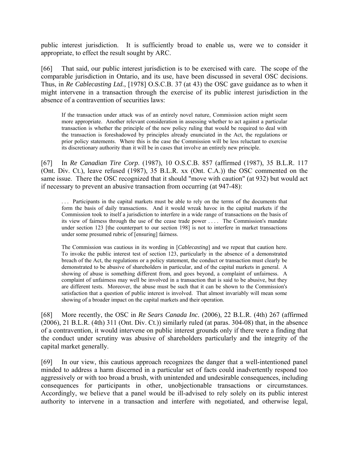public interest jurisdiction. It is sufficiently broad to enable us, were we to consider it appropriate, to effect the result sought by ARC.

[66] That said, our public interest jurisdiction is to be exercised with care. The scope of the comparable jurisdiction in Ontario, and its use, have been discussed in several OSC decisions. Thus, in *Re Cablecasting Ltd.*, [1978] O.S.C.B. 37 (at 43) the OSC gave guidance as to when it might intervene in a transaction through the exercise of its public interest jurisdiction in the absence of a contravention of securities laws:

If the transaction under attack was of an entirely novel nature, Commission action might seem more appropriate. Another relevant consideration in assessing whether to act against a particular transaction is whether the principle of the new policy ruling that would be required to deal with the transaction is foreshadowed by principles already enunciated in the Act, the regulations or prior policy statements. Where this is the case the Commission will be less reluctant to exercise its discretionary authority than it will be in cases that involve an entirely new principle.

[67] In *Re Canadian Tire Corp*. (1987), 10 O.S.C.B. 857 (affirmed (1987), 35 B.L.R. 117 (Ont. Div. Ct.), leave refused (1987), 35 B.L.R. xx (Ont. C.A.)) the OSC commented on the same issue. There the OSC recognized that it should "move with caution" (at 932) but would act if necessary to prevent an abusive transaction from occurring (at 947-48):

. . . Participants in the capital markets must be able to rely on the terms of the documents that form the basis of daily transactions. And it would wreak havoc in the capital markets if the Commission took to itself a jurisdiction to interfere in a wide range of transactions on the basis of its view of fairness through the use of the cease trade power . . . . The Commission's mandate under section 123 [the counterpart to our section 198] is not to interfere in market transactions under some presumed rubric of [ensuring] fairness.

The Commission was cautious in its wording in [*Cablecasting*] and we repeat that caution here. To invoke the public interest test of section 123, particularly in the absence of a demonstrated breach of the Act, the regulations or a policy statement, the conduct or transaction must clearly be demonstrated to be abusive of shareholders in particular, and of the capital markets in general. A showing of abuse is something different from, and goes beyond, a complaint of unfairness. A complaint of unfairness may well be involved in a transaction that is said to be abusive, but they are different tests. Moreover, the abuse must be such that it can be shown to the Commission's satisfaction that a question of public interest is involved. That almost invariably will mean some showing of a broader impact on the capital markets and their operation.

[68] More recently, the OSC in *Re Sears Canada Inc.* (2006), 22 B.L.R. (4th) 267 (affirmed (2006), 21 B.L.R. (4th) 311 (Ont. Div. Ct.)) similarly ruled (at paras. 304-08) that, in the absence of a contravention, it would intervene on public interest grounds only if there were a finding that the conduct under scrutiny was abusive of shareholders particularly and the integrity of the capital market generally.

[69] In our view, this cautious approach recognizes the danger that a well-intentioned panel minded to address a harm discerned in a particular set of facts could inadvertently respond too aggressively or with too broad a brush, with unintended and undesirable consequences, including consequences for participants in other, unobjectionable transactions or circumstances. Accordingly, we believe that a panel would be ill-advised to rely solely on its public interest authority to intervene in a transaction and interfere with negotiated, and otherwise legal,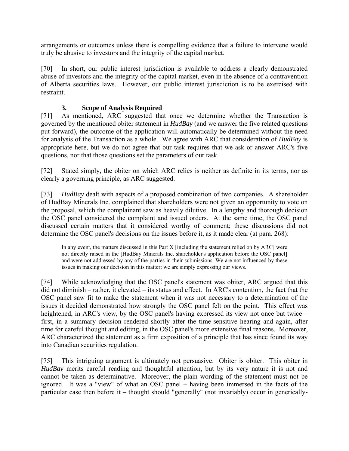arrangements or outcomes unless there is compelling evidence that a failure to intervene would truly be abusive to investors and the integrity of the capital market.

[70] In short, our public interest jurisdiction is available to address a clearly demonstrated abuse of investors and the integrity of the capital market, even in the absence of a contravention of Alberta securities laws. However, our public interest jurisdiction is to be exercised with restraint.

# **3. Scope of Analysis Required**

[71] As mentioned, ARC suggested that once we determine whether the Transaction is governed by the mentioned obiter statement in *HudBay* (and we answer the five related questions put forward), the outcome of the application will automatically be determined without the need for analysis of the Transaction as a whole. We agree with ARC that consideration of *HudBay* is appropriate here, but we do not agree that our task requires that we ask or answer ARC's five questions, nor that those questions set the parameters of our task.

[72] Stated simply, the obiter on which ARC relies is neither as definite in its terms, nor as clearly a governing principle, as ARC suggested.

[73] *HudBay* dealt with aspects of a proposed combination of two companies. A shareholder of HudBay Minerals Inc. complained that shareholders were not given an opportunity to vote on the proposal, which the complainant saw as heavily dilutive. In a lengthy and thorough decision the OSC panel considered the complaint and issued orders. At the same time, the OSC panel discussed certain matters that it considered worthy of comment; these discussions did not determine the OSC panel's decisions on the issues before it, as it made clear (at para. 268):

In any event, the matters discussed in this Part X [including the statement relied on by ARC] were not directly raised in the [HudBay Minerals Inc. shareholder's application before the OSC panel] and were not addressed by any of the parties in their submissions. We are not influenced by these issues in making our decision in this matter; we are simply expressing our views.

[74] While acknowledging that the OSC panel's statement was obiter, ARC argued that this did not diminish – rather, it elevated – its status and effect. In ARC's contention, the fact that the OSC panel saw fit to make the statement when it was not necessary to a determination of the issues it decided demonstrated how strongly the OSC panel felt on the point. This effect was heightened, in ARC's view, by the OSC panel's having expressed its view not once but twice – first, in a summary decision rendered shortly after the time-sensitive hearing and again, after time for careful thought and editing, in the OSC panel's more extensive final reasons. Moreover, ARC characterized the statement as a firm exposition of a principle that has since found its way into Canadian securities regulation.

[75] This intriguing argument is ultimately not persuasive. Obiter is obiter. This obiter in *HudBay* merits careful reading and thoughtful attention, but by its very nature it is not and cannot be taken as determinative. Moreover, the plain wording of the statement must not be ignored. It was a "view" of what an OSC panel – having been immersed in the facts of the particular case then before it – thought should "generally" (not invariably) occur in generically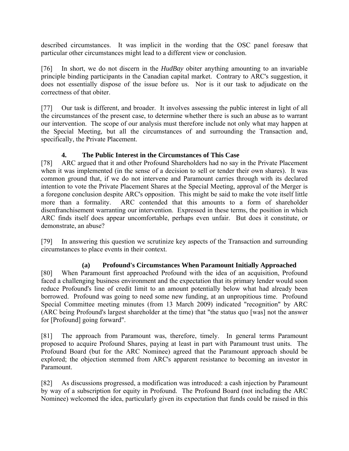described circumstances. It was implicit in the wording that the OSC panel foresaw that particular other circumstances might lead to a different view or conclusion.

[76] In short, we do not discern in the *HudBay* obiter anything amounting to an invariable principle binding participants in the Canadian capital market. Contrary to ARC's suggestion, it does not essentially dispose of the issue before us. Nor is it our task to adjudicate on the correctness of that obiter.

[77] Our task is different, and broader. It involves assessing the public interest in light of all the circumstances of the present case, to determine whether there is such an abuse as to warrant our intervention. The scope of our analysis must therefore include not only what may happen at the Special Meeting, but all the circumstances of and surrounding the Transaction and, specifically, the Private Placement.

## **4. The Public Interest in the Circumstances of This Case**

[78] ARC argued that it and other Profound Shareholders had no say in the Private Placement when it was implemented (in the sense of a decision to sell or tender their own shares). It was common ground that, if we do not intervene and Paramount carries through with its declared intention to vote the Private Placement Shares at the Special Meeting, approval of the Merger is a foregone conclusion despite ARC's opposition. This might be said to make the vote itself little more than a formality. ARC contended that this amounts to a form of shareholder disenfranchisement warranting our intervention. Expressed in these terms, the position in which ARC finds itself does appear uncomfortable, perhaps even unfair. But does it constitute, or demonstrate, an abuse?

[79] In answering this question we scrutinize key aspects of the Transaction and surrounding circumstances to place events in their context.

# **(a) Profound's Circumstances When Paramount Initially Approached**

[80] When Paramount first approached Profound with the idea of an acquisition, Profound faced a challenging business environment and the expectation that its primary lender would soon reduce Profound's line of credit limit to an amount potentially below what had already been borrowed. Profound was going to need some new funding, at an unpropitious time. Profound Special Committee meeting minutes (from 13 March 2009) indicated "recognition" by ARC (ARC being Profound's largest shareholder at the time) that "the status quo [was] not the answer for [Profound] going forward".

[81] The approach from Paramount was, therefore, timely. In general terms Paramount proposed to acquire Profound Shares, paying at least in part with Paramount trust units. The Profound Board (but for the ARC Nominee) agreed that the Paramount approach should be explored; the objection stemmed from ARC's apparent resistance to becoming an investor in Paramount.

[82] As discussions progressed, a modification was introduced: a cash injection by Paramount by way of a subscription for equity in Profound. The Profound Board (not including the ARC Nominee) welcomed the idea, particularly given its expectation that funds could be raised in this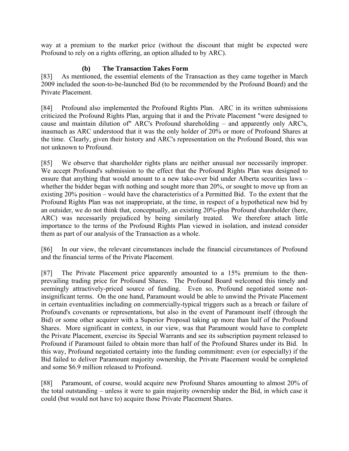way at a premium to the market price (without the discount that might be expected were Profound to rely on a rights offering, an option alluded to by ARC).

## **(b) The Transaction Takes Form**

[83] As mentioned, the essential elements of the Transaction as they came together in March 2009 included the soon-to-be-launched Bid (to be recommended by the Profound Board) and the Private Placement.

[84] Profound also implemented the Profound Rights Plan. ARC in its written submissions criticized the Profound Rights Plan, arguing that it and the Private Placement "were designed to cause and maintain dilution of" ARC's Profound shareholding – and apparently only ARC's, inasmuch as ARC understood that it was the only holder of 20% or more of Profound Shares at the time. Clearly, given their history and ARC's representation on the Profound Board, this was not unknown to Profound.

[85] We observe that shareholder rights plans are neither unusual nor necessarily improper. We accept Profound's submission to the effect that the Profound Rights Plan was designed to ensure that anything that would amount to a new take-over bid under Alberta securities laws – whether the bidder began with nothing and sought more than 20%, or sought to move up from an existing 20% position – would have the characteristics of a Permitted Bid. To the extent that the Profound Rights Plan was not inappropriate, at the time, in respect of a hypothetical new bid by an outsider, we do not think that, conceptually, an existing 20%-plus Profound shareholder (here, ARC) was necessarily prejudiced by being similarly treated. We therefore attach little importance to the terms of the Profound Rights Plan viewed in isolation, and instead consider them as part of our analysis of the Transaction as a whole.

[86] In our view, the relevant circumstances include the financial circumstances of Profound and the financial terms of the Private Placement.

[87] The Private Placement price apparently amounted to a 15% premium to the thenprevailing trading price for Profound Shares. The Profound Board welcomed this timely and seemingly attractively-priced source of funding. Even so, Profound negotiated some notinsignificant terms. On the one hand, Paramount would be able to unwind the Private Placement in certain eventualities including on commercially-typical triggers such as a breach or failure of Profound's covenants or representations, but also in the event of Paramount itself (through the Bid) or some other acquirer with a Superior Proposal taking up more than half of the Profound Shares. More significant in context, in our view, was that Paramount would have to complete the Private Placement, exercise its Special Warrants and see its subscription payment released to Profound if Paramount failed to obtain more than half of the Profound Shares under its Bid. In this way, Profound negotiated certainty into the funding commitment: even (or especially) if the Bid failed to deliver Paramount majority ownership, the Private Placement would be completed and some \$6.9 million released to Profound.

[88] Paramount, of course, would acquire new Profound Shares amounting to almost 20% of the total outstanding – unless it were to gain majority ownership under the Bid, in which case it could (but would not have to) acquire those Private Placement Shares.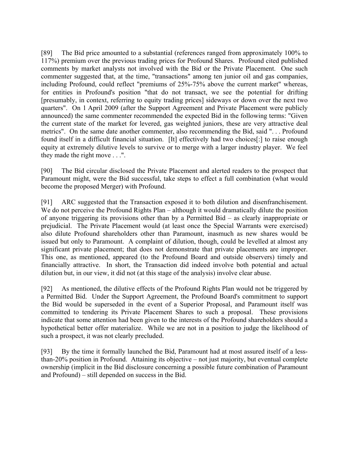[89] The Bid price amounted to a substantial (references ranged from approximately 100% to 117%) premium over the previous trading prices for Profound Shares. Profound cited published comments by market analysts not involved with the Bid or the Private Placement. One such commenter suggested that, at the time, "transactions" among ten junior oil and gas companies, including Profound, could reflect "premiums of 25%-75% above the current market" whereas, for entities in Profound's position "that do not transact, we see the potential for drifting [presumably, in context, referring to equity trading prices] sideways or down over the next two quarters". On 1 April 2009 (after the Support Agreement and Private Placement were publicly announced) the same commenter recommended the expected Bid in the following terms: "Given the current state of the market for levered, gas weighted juniors, these are very attractive deal metrics". On the same date another commenter, also recommending the Bid, said ". . . Profound found itself in a difficult financial situation. [It] effectively had two choices[:] to raise enough equity at extremely dilutive levels to survive or to merge with a larger industry player. We feel they made the right move . . .".

[90] The Bid circular disclosed the Private Placement and alerted readers to the prospect that Paramount might, were the Bid successful, take steps to effect a full combination (what would become the proposed Merger) with Profound.

[91] ARC suggested that the Transaction exposed it to both dilution and disenfranchisement. We do not perceive the Profound Rights Plan – although it would dramatically dilute the position of anyone triggering its provisions other than by a Permitted Bid – as clearly inappropriate or prejudicial. The Private Placement would (at least once the Special Warrants were exercised) also dilute Profound shareholders other than Paramount, inasmuch as new shares would be issued but only to Paramount. A complaint of dilution, though, could be levelled at almost any significant private placement; that does not demonstrate that private placements are improper. This one, as mentioned, appeared (to the Profound Board and outside observers) timely and financially attractive. In short, the Transaction did indeed involve both potential and actual dilution but, in our view, it did not (at this stage of the analysis) involve clear abuse.

[92] As mentioned, the dilutive effects of the Profound Rights Plan would not be triggered by a Permitted Bid. Under the Support Agreement, the Profound Board's commitment to support the Bid would be superseded in the event of a Superior Proposal, and Paramount itself was committed to tendering its Private Placement Shares to such a proposal. These provisions indicate that some attention had been given to the interests of the Profound shareholders should a hypothetical better offer materialize. While we are not in a position to judge the likelihood of such a prospect, it was not clearly precluded.

[93] By the time it formally launched the Bid, Paramount had at most assured itself of a lessthan-20% position in Profound. Attaining its objective – not just majority, but eventual complete ownership (implicit in the Bid disclosure concerning a possible future combination of Paramount and Profound) – still depended on success in the Bid.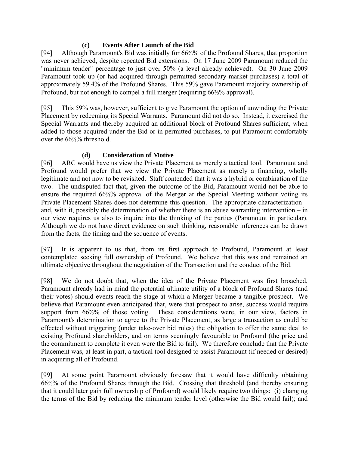### **(c) Events After Launch of the Bid**

[94] Although Paramount's Bid was initially for 66%% of the Profound Shares, that proportion was never achieved, despite repeated Bid extensions. On 17 June 2009 Paramount reduced the "minimum tender" percentage to just over 50% (a level already achieved). On 30 June 2009 Paramount took up (or had acquired through permitted secondary-market purchases) a total of approximately 59.4% of the Profound Shares. This 59% gave Paramount majority ownership of Profound, but not enough to compel a full merger (requiring 66⅔% approval).

[95] This 59% was, however, sufficient to give Paramount the option of unwinding the Private Placement by redeeming its Special Warrants. Paramount did not do so. Instead, it exercised the Special Warrants and thereby acquired an additional block of Profound Shares sufficient, when added to those acquired under the Bid or in permitted purchases, to put Paramount comfortably over the 66⅔% threshold.

# **(d) Consideration of Motive**

[96] ARC would have us view the Private Placement as merely a tactical tool. Paramount and Profound would prefer that we view the Private Placement as merely a financing, wholly legitimate and not now to be revisited. Staff contended that it was a hybrid or combination of the two. The undisputed fact that, given the outcome of the Bid, Paramount would not be able to ensure the required 66⅔% approval of the Merger at the Special Meeting without voting its Private Placement Shares does not determine this question. The appropriate characterization – and, with it, possibly the determination of whether there is an abuse warranting intervention – in our view requires us also to inquire into the thinking of the parties (Paramount in particular). Although we do not have direct evidence on such thinking, reasonable inferences can be drawn from the facts, the timing and the sequence of events.

[97] It is apparent to us that, from its first approach to Profound, Paramount at least contemplated seeking full ownership of Profound. We believe that this was and remained an ultimate objective throughout the negotiation of the Transaction and the conduct of the Bid.

[98] We do not doubt that, when the idea of the Private Placement was first broached, Paramount already had in mind the potential ultimate utility of a block of Profound Shares (and their votes) should events reach the stage at which a Merger became a tangible prospect. We believe that Paramount even anticipated that, were that prospect to arise, success would require support from 66%% of those voting. These considerations were, in our view, factors in Paramount's determination to agree to the Private Placement, as large a transaction as could be effected without triggering (under take-over bid rules) the obligation to offer the same deal to existing Profound shareholders, and on terms seemingly favourable to Profound (the price and the commitment to complete it even were the Bid to fail). We therefore conclude that the Private Placement was, at least in part, a tactical tool designed to assist Paramount (if needed or desired) in acquiring all of Profound.

[99] At some point Paramount obviously foresaw that it would have difficulty obtaining 66⅔% of the Profound Shares through the Bid. Crossing that threshold (and thereby ensuring that it could later gain full ownership of Profound) would likely require two things: (i) changing the terms of the Bid by reducing the minimum tender level (otherwise the Bid would fail); and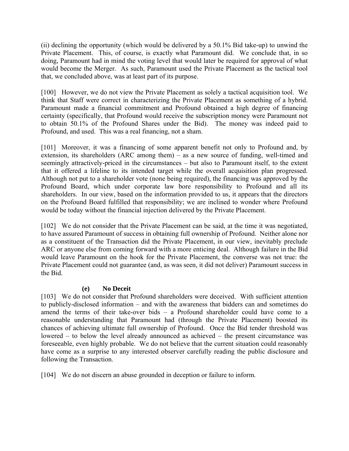(ii) declining the opportunity (which would be delivered by a 50.1% Bid take-up) to unwind the Private Placement. This, of course, is exactly what Paramount did. We conclude that, in so doing, Paramount had in mind the voting level that would later be required for approval of what would become the Merger. As such, Paramount used the Private Placement as the tactical tool that, we concluded above, was at least part of its purpose.

[100] However, we do not view the Private Placement as solely a tactical acquisition tool. We think that Staff were correct in characterizing the Private Placement as something of a hybrid. Paramount made a financial commitment and Profound obtained a high degree of financing certainty (specifically, that Profound would receive the subscription money were Paramount not to obtain 50.1% of the Profound Shares under the Bid). The money was indeed paid to Profound, and used. This was a real financing, not a sham.

[101] Moreover, it was a financing of some apparent benefit not only to Profound and, by extension, its shareholders (ARC among them) – as a new source of funding, well-timed and seemingly attractively-priced in the circumstances – but also to Paramount itself, to the extent that it offered a lifeline to its intended target while the overall acquisition plan progressed. Although not put to a shareholder vote (none being required), the financing was approved by the Profound Board, which under corporate law bore responsibility to Profound and all its shareholders. In our view, based on the information provided to us, it appears that the directors on the Profound Board fulfilled that responsibility; we are inclined to wonder where Profound would be today without the financial injection delivered by the Private Placement.

[102] We do not consider that the Private Placement can be said, at the time it was negotiated, to have assured Paramount of success in obtaining full ownership of Profound. Neither alone nor as a constituent of the Transaction did the Private Placement, in our view, inevitably preclude ARC or anyone else from coming forward with a more enticing deal. Although failure in the Bid would leave Paramount on the hook for the Private Placement, the converse was not true: the Private Placement could not guarantee (and, as was seen, it did not deliver) Paramount success in the Bid.

#### **(e) No Deceit**

[103] We do not consider that Profound shareholders were deceived. With sufficient attention to publicly-disclosed information – and with the awareness that bidders can and sometimes do amend the terms of their take-over bids – a Profound shareholder could have come to a reasonable understanding that Paramount had (through the Private Placement) boosted its chances of achieving ultimate full ownership of Profound. Once the Bid tender threshold was lowered – to below the level already announced as achieved – the present circumstance was foreseeable, even highly probable. We do not believe that the current situation could reasonably have come as a surprise to any interested observer carefully reading the public disclosure and following the Transaction.

[104] We do not discern an abuse grounded in deception or failure to inform.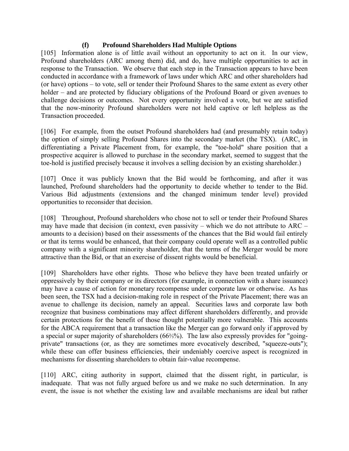#### **(f) Profound Shareholders Had Multiple Options**

[105] Information alone is of little avail without an opportunity to act on it. In our view, Profound shareholders (ARC among them) did, and do, have multiple opportunities to act in response to the Transaction. We observe that each step in the Transaction appears to have been conducted in accordance with a framework of laws under which ARC and other shareholders had (or have) options – to vote, sell or tender their Profound Shares to the same extent as every other holder – and are protected by fiduciary obligations of the Profound Board or given avenues to challenge decisions or outcomes. Not every opportunity involved a vote, but we are satisfied that the now-minority Profound shareholders were not held captive or left helpless as the Transaction proceeded.

[106] For example, from the outset Profound shareholders had (and presumably retain today) the option of simply selling Profound Shares into the secondary market (the TSX). (ARC, in differentiating a Private Placement from, for example, the "toe-hold" share position that a prospective acquirer is allowed to purchase in the secondary market, seemed to suggest that the toe-hold is justified precisely because it involves a selling decision by an existing shareholder.)

[107] Once it was publicly known that the Bid would be forthcoming, and after it was launched, Profound shareholders had the opportunity to decide whether to tender to the Bid. Various Bid adjustments (extensions and the changed minimum tender level) provided opportunities to reconsider that decision.

[108] Throughout, Profound shareholders who chose not to sell or tender their Profound Shares may have made that decision (in context, even passivity – which we do not attribute to ARC – amounts to a decision) based on their assessments of the chances that the Bid would fail entirely or that its terms would be enhanced, that their company could operate well as a controlled public company with a significant minority shareholder, that the terms of the Merger would be more attractive than the Bid, or that an exercise of dissent rights would be beneficial.

[109] Shareholders have other rights. Those who believe they have been treated unfairly or oppressively by their company or its directors (for example, in connection with a share issuance) may have a cause of action for monetary recompense under corporate law or otherwise. As has been seen, the TSX had a decision-making role in respect of the Private Placement; there was an avenue to challenge its decision, namely an appeal. Securities laws and corporate law both recognize that business combinations may affect different shareholders differently, and provide certain protections for the benefit of those thought potentially more vulnerable. This accounts for the ABCA requirement that a transaction like the Merger can go forward only if approved by a special or super majority of shareholders (66⅔%). The law also expressly provides for "goingprivate" transactions (or, as they are sometimes more evocatively described, "squeeze-outs"); while these can offer business efficiencies, their undeniably coercive aspect is recognized in mechanisms for dissenting shareholders to obtain fair-value recompense.

[110] ARC, citing authority in support, claimed that the dissent right, in particular, is inadequate. That was not fully argued before us and we make no such determination. In any event, the issue is not whether the existing law and available mechanisms are ideal but rather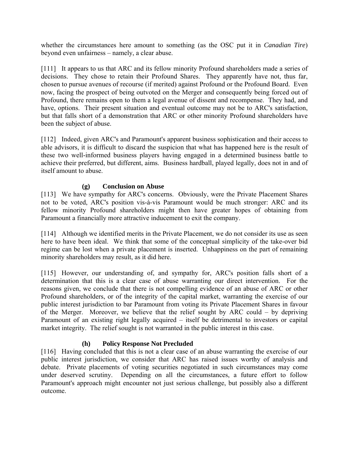whether the circumstances here amount to something (as the OSC put it in *Canadian Tire*) beyond even unfairness – namely, a clear abuse.

[111] It appears to us that ARC and its fellow minority Profound shareholders made a series of decisions. They chose to retain their Profound Shares. They apparently have not, thus far, chosen to pursue avenues of recourse (if merited) against Profound or the Profound Board. Even now, facing the prospect of being outvoted on the Merger and consequently being forced out of Profound, there remains open to them a legal avenue of dissent and recompense. They had, and have, options. Their present situation and eventual outcome may not be to ARC's satisfaction, but that falls short of a demonstration that ARC or other minority Profound shareholders have been the subject of abuse.

[112] Indeed, given ARC's and Paramount's apparent business sophistication and their access to able advisors, it is difficult to discard the suspicion that what has happened here is the result of these two well-informed business players having engaged in a determined business battle to achieve their preferred, but different, aims. Business hardball, played legally, does not in and of itself amount to abuse.

#### **(g) Conclusion on Abuse**

[113] We have sympathy for ARC's concerns. Obviously, were the Private Placement Shares not to be voted, ARC's position vis-à-vis Paramount would be much stronger: ARC and its fellow minority Profound shareholders might then have greater hopes of obtaining from Paramount a financially more attractive inducement to exit the company.

[114] Although we identified merits in the Private Placement, we do not consider its use as seen here to have been ideal. We think that some of the conceptual simplicity of the take-over bid regime can be lost when a private placement is inserted. Unhappiness on the part of remaining minority shareholders may result, as it did here.

[115] However, our understanding of, and sympathy for, ARC's position falls short of a determination that this is a clear case of abuse warranting our direct intervention. For the reasons given, we conclude that there is not compelling evidence of an abuse of ARC or other Profound shareholders, or of the integrity of the capital market, warranting the exercise of our public interest jurisdiction to bar Paramount from voting its Private Placement Shares in favour of the Merger. Moreover, we believe that the relief sought by ARC could – by depriving Paramount of an existing right legally acquired – itself be detrimental to investors or capital market integrity. The relief sought is not warranted in the public interest in this case.

#### **(h) Policy Response Not Precluded**

[116] Having concluded that this is not a clear case of an abuse warranting the exercise of our public interest jurisdiction, we consider that ARC has raised issues worthy of analysis and debate. Private placements of voting securities negotiated in such circumstances may come under deserved scrutiny. Depending on all the circumstances, a future effort to follow Paramount's approach might encounter not just serious challenge, but possibly also a different outcome.